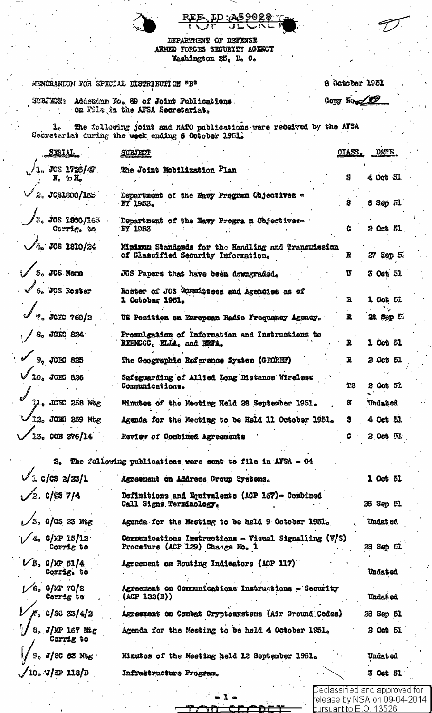|  | REF. ID: A59028 |                |  |
|--|-----------------|----------------|--|
|  | \ / {"          | مذیق مسیح سالہ |  |

DEPARTMENT OF DEFENSE<br>ARMED FORCES SECURITY AGESCY Washington 25, D. C.

|                                                                           | B October 1951<br><b>HEMORANIUM FOR SPECIAL DISTRIBUTION "B"</b>                                                             |                 |
|---------------------------------------------------------------------------|------------------------------------------------------------------------------------------------------------------------------|-----------------|
|                                                                           | Copy No 20<br>SUEJECT: Addendum No. 89 of Joint Publications.<br>on File in the AFSA Secretariat.                            |                 |
|                                                                           | 1. The following joint and MATO publications were redeived by the AFSA<br>Secretariat during the week ending 6 October 1951. |                 |
| <u>SERIAL</u>                                                             | <b>CLASS.</b><br><b>SUBJECT</b>                                                                                              | DATE            |
| $.508$ $1725/T$<br>$\overline{\mathbb{N}}_c$ to $\overline{\mathbb{H}}_c$ | The Joint Mobilization Plan<br>S                                                                                             | 4 008 51        |
| $^{\prime}$ 2. JCS1600/165 $^{\prime}$                                    | Department of the Navy Program Objectives<br>S.<br><b>FY 1953.</b>                                                           | 6 Sep 51        |
| <sup>7</sup> %, JGS 1800/163<br>Corrig. to                                | Department of the Navy Program Objectives-<br>G<br><b>FY 1983</b>                                                            | 2 0ct 51        |
| $\sqrt{26}$ JCS 1810/24                                                   | Minimum Standards for the Handling and Transmission<br>of Classified Security Information.<br>R                              | 27 Sep 5        |
| $\mathscr{I}$ s. JCS Neme                                                 | U<br>JCS Papers that have been downgraded.                                                                                   | 3 Oct 51        |
| $\sqrt{6}$ . JCS Roster                                                   | Roster of JCS Committees and Agencies as of<br>$\mathbf{E}$<br>1 October 1951.                                               | 1 Oob 51        |
| $\int_{\%}$ JCE 760/2                                                     | R.<br>US Position on European Radio Frequency Agency.                                                                        | 28. Spp 5.      |
| $\sqrt{s_c}$ JCEC 824                                                     | Promulgation of Information and Instructions to<br>REEMCCC, KLLA, and KRFA.<br>R                                             | 1 Oct 51        |
| $\sqrt{3}$ 10EC 835                                                       | The Geographic Reference System (GEOREF)<br>R.                                                                               | 2 Oct 51        |
| $/$ 10. JCHC 826                                                          | Safeguarding of Allied Long Distance Wireless<br>Communications.                                                             | 2 Oct 51.       |
| Li. JCKC 258 M&G                                                          | Minutes of the Meeting Held 28 September 1951.<br>s                                                                          | Undated         |
| 12. JCK2 259 Mtg                                                          | Agenda for the Mecting to be Held 11 October 1951.<br>s                                                                      | 4 Oct 51        |
| 13. CCB 276/14                                                            | Review of Combined Agreements                                                                                                | 2 Oct in        |
|                                                                           | $20$ The following publications were sent to file in AFSA $\infty$ O4                                                        |                 |
| $\sqrt{2}$ c/cs $2/23/1$                                                  | Agreement on Address Group Systems.                                                                                          | 1 Oct 51        |
| ∕2. C/69 7/4                                                              | Definitions and Equivalents (ACP 167)- Combined<br>Call Signs Terminology.                                                   | 26 Sep 51       |
| $\sqrt{3}$ . C/OS 23 Meg                                                  | Agenda for the Mesting to be held 9 October 1951.                                                                            | <b>Undated</b>  |
| $4.6$ C/MP 15/12<br>Corrig to                                             | Communications Instructions $\sim$ Visual Signalling (V/S)<br>Procedure (ACP 129) Change No. 1                               | 28 Sep 51       |
| $\sqrt{5}$ C/MP 51/4<br>Corrig. to                                        | Agreement on Routing Indicators (ACP 117)                                                                                    | Undated         |
| $\sqrt{6}$ . C/MP 70/2<br>Corrig to                                       | Agreement on Communications Instructions - Security<br>$(\text{ACP}$ 122 $(\text{B}))$                                       | Undat od        |
| r. c/sc 33/4/2                                                            | Agreement on Combat Cryptosystems (Air Ground Codes)                                                                         | 28 Sep 51       |
| 8. J/MP 167 Mg<br>Corrig to                                               | Agenda for the Meeting to be held 4 October 1951.                                                                            | 2 Oct 51        |
| $9^{\circ}$ J/SC 63 Mes $^{\circ}$                                        | Minutes of the Meeting held 12 September 1951.                                                                               | <b>Undeted</b>  |
| $\sqrt{10}$ . Jsp 118/D                                                   | Infraitructure Program.                                                                                                      | <b>3 Oct 51</b> |

- 1

Declassified and approved for<br>release by NSA on 09-04-2014<br>pursuant to E.O. 13526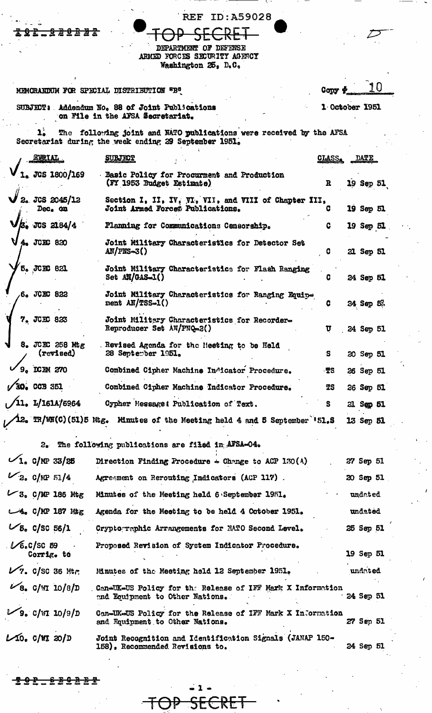<del>. 2 2 0 2 2 2</del> <del>9 L .</del>

**REF ID:A59028** 

DEPARTMENT OF DEFENSE ARMED FORCES SECURITY AGENCY Washington 25, D.C.

MEMORANDUM FOR SPECIAL DISTRIBUTION "B"

 $\mathbf{L}$ Copy +

1 October 1951

SUBJECT: Addendum No. 88 of Joint Publications on File in the AFSA Secretariat.  $\overline{a}$ 

1. The following joint and NATO publications were received by the AFSA Secretariat during the week ending 29 September 1951.  $\mathbf{1}_{\bullet}^{\mathbf{i}}$ 

|  | <b>REIAL</b>                                    | <b>SUBJECT</b>                                                                                | <u>CLASS.</u> | DATE             |           |
|--|-------------------------------------------------|-----------------------------------------------------------------------------------------------|---------------|------------------|-----------|
|  | $_{\circ}$ JCS 1800/169                         | Basic Policy for Procurment and Production<br>(FY 1953 Budget Estimate)                       | R             |                  | 19 Sep 51 |
|  | 2. JCS 2045/12<br>Dec. on                       | Section I, II, IV, VI, VII, and VIII of Chapter III,<br>Joint Armed Forcet Publications.      |               | 19 Sep 51        |           |
|  | $/3.$ JCS 2184/4                                | Planning for Communications Censorship.                                                       | c             | 19 Sep 51        |           |
|  | 4. JCEC 820                                     | Joint Military Characteristics for Detector Set<br>$AN/PRS-3()$                               | G             | 21 Sep 51        |           |
|  | 5. JCEC 821                                     | Joint Military Characteristics for Flash Ranging<br>Set AN/GAS-1()                            |               | 24 Sep 51        |           |
|  | 6. JCEC 822                                     | Joint Military Characteristics for Ranging Equip-<br>ment $AN/TSS-1()$                        | C             | 24 Sep 5‰        |           |
|  | 7. JCEC 823                                     | Joint Military Characteristics for Recorder-<br>Reproducer Set AN/PNQ-2()                     | U             | 24 Sep 51        |           |
|  | 8. JCEC 258 Mtg<br>(revised)                    | . Revised Agenda for the Heeting to be Held<br>28 September 1951.                             | s             | 20 Sep 51        |           |
|  | 9. DCEM 270                                     | Combined Cipher Machine Indicator Procedure.                                                  | ·TS           | 26 Sep 51        |           |
|  | $\sqrt{30}$ . CCB 351                           | Combined Cipher Machine Indicator Procedure.                                                  | TS            | 26 Sep 51        |           |
|  | $\sqrt{11.1/161A/6964}$                         | Cypher Messaget Publication of Text.                                                          | s             | 21 Sep 51        |           |
|  |                                                 | 12. TR/WN(C)(51)5 Mtg. Minutes of the Meeting held 4 and 5 September $151.5$                  |               | 13 Sep 51        |           |
|  |                                                 | 2. The following publications are filed in AFSA=04.                                           |               |                  |           |
|  | $1.$ C/MP 33/25                                 | Direction Finding Procedure $\triangle$ Change to ACP 130(A)                                  |               | 27 Sep 51        |           |
|  | $V_2$ . C/MP 51/4                               | Agreement on Rerouting Indicators (ACP 117).                                                  |               | 20 Sep 51        |           |
|  | $U$ 3. C/MP 186 Mtg                             | Minutes of the Meeting held 6 September 1951.                                                 |               | undated          |           |
|  | $-4.$ C/MP 187 Mtg                              | Agenda for the Meeting to be held 4 October 1951.                                             |               | undated          |           |
|  | $V_{5.}$ C/SC 56/1                              | Crypto raphic Arrangements for NATO Second Level.                                             |               | 25 Sep 51        |           |
|  | $\mathcal{V}\epsilon_{c}$ C/SC 59<br>Corrig. to | Proposed Revision of System Indicator Procedure.                                              |               | <b>19 Sep 51</b> |           |
|  | $V$ 7. C/SC 36 Mtm                              | Minutes of the Meeting held 12 September 1951.                                                |               | undated          |           |
|  | $\mathscr{C}_{8_{\circ}}$ C/WI 10/8/D           | Can-UK-US Policy for the Release of IFF Mark X Information<br>and Equipment to Other Nations. |               | 24 Sep 51        |           |
|  | $\mathcal{V}_9$ . C/WI 10/9/D                   | Can-UK-US Policy for the Release of IFF Mark X Information<br>and Equipment to Other Nations. |               | 27 Sep 51        |           |
|  | $L$ 10. C/WI 20/D                               | Joint Recognition and Identification Signals (JANAP 150-<br>158), Recommended Revisions to.   |               | 24 Sep 51        |           |

₱

**202.630BBT**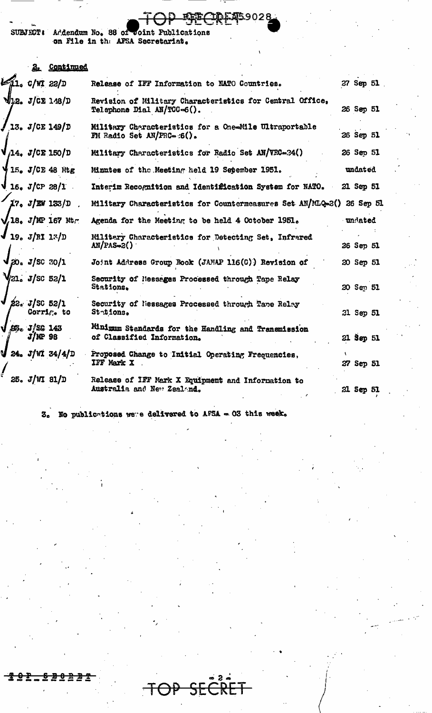**SUBJECT &** Addendum No. 88 of Joint Publications on File in the AFSA Secretariat.

## Continued  $2<sub>1</sub>$

|  | 21. C/WI 22/D                                     | Release of IFF Information to NATO Countries.                                                   | 27 Sep 51 |  |
|--|---------------------------------------------------|-------------------------------------------------------------------------------------------------|-----------|--|
|  |                                                   |                                                                                                 |           |  |
|  | $\sqrt{22}$ J/CE 148/D                            | Revision of Military Characteristics for Central Office,<br>Telephone Dial AN/TCC-6().          | 26 Sep 51 |  |
|  | $J$ 13. J/CE 149/D                                | Military Characteristics for a One-Mile Ultraportable<br>$\mathbf{F}$ M Radio Set AN/FRC= :6(). | 26 Sep 51 |  |
|  | $V_{14}$ , $J/CE$ 150/D                           | Military Characteristics for Radio Set AN/VRC-34()                                              | 26 Sep 51 |  |
|  | 415. J/CE 48 Mg                                   | Minutes of the Meeting held 19 Sepember 1951.                                                   | undated   |  |
|  | $\sqrt{16^{\circ} 2(25)}$                         | Interim Recognition and Identification System for NATO.                                         | 21 Sep 51 |  |
|  | $17. J/\text{EW} 133/D$ .                         | Military Characteristics for Countermeasures Set AN/MLQ-2() 26 Sep 51                           |           |  |
|  | $\sqrt{18}$ . J/MP 167 Mtm                        | Agenda for the Meeting to be held 4 October 1951.                                               | undated   |  |
|  | $J_{19. J/RI 13/D}$                               | Military Characteristics for Detecting Set, Infrared<br>$AN/PS = 2()$                           | 26 Sep 51 |  |
|  | $\sqrt{20}$ , $J/\text{SC}$ $30/1$                | Joint Address Group Rook (JANAP 116(C)) Revision of                                             | 20 Sep 51 |  |
|  | $V_{21}$ , $J_{\rm s}$ c 52/1                     | Security of Nessages Processed through Tape Relay<br>Stations.                                  | 20 Sep 51 |  |
|  | $\sqrt{25}$ $J/20$ 52/1<br>Corri $c_{\bullet}$ to | Security of liessages Processed through Tane Relay<br>Stations.                                 | 21 Sep 51 |  |
|  | B3c J/2G 143<br>$J/MP$ 98                         | Minimum Standards for the Handling and Transmission<br>of Classified Information.               | 21 Sep 51 |  |
|  | $\sqrt{24. J/m 34/4/D}$                           | Proposed Change to Initial Operating Frequencies,<br>IFF Mark X                                 | 27 Sep 51 |  |
|  | 25. J/WI 81/D                                     | Release of IFF Mark X Equipment and Information to<br>Australia and New Zealand.                | 21 Sep 51 |  |

<mark>ዧ</mark>፞፝፝፼ቜጞቜጛ028

 $3.5$  No publications were delivered to AFSA = 03 this week.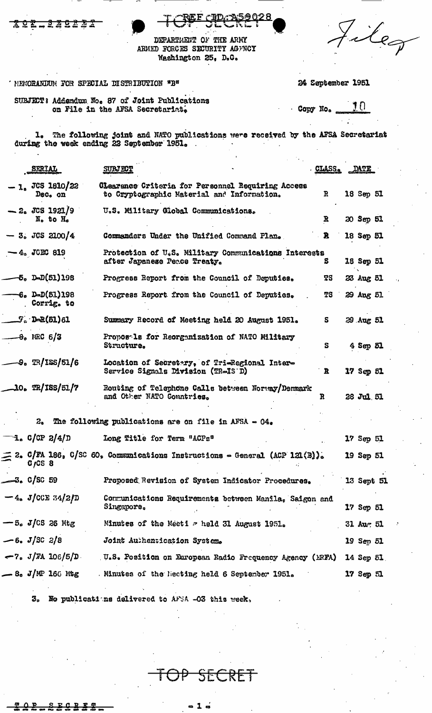| ٠               |                    |
|-----------------|--------------------|
| $\sim$ $\prime$ | $\boldsymbol{\nu}$ |

DEPARTMENT OF THE ARMY ARMED FORCES SECURITY AGENCY Washington 25, D.C.

MENORANIUM FOR SPECIAL DISTRIBUTION "B"

24 September 1951

SUBJECT: Addendum No. 87 of Joint Publications on File in the AFSA Secretariat.

 $10$ Copy No.

 $1_{\circ}$  The following joint and NATO publications were received by the AFSA Secretariat during the week ending 22 September 1951.

| <b>SERIAL</b>                                         | <b>SUBJECT</b>                                                                                  | <b>CLASS.</b> | DATE          |  |
|-------------------------------------------------------|-------------------------------------------------------------------------------------------------|---------------|---------------|--|
| $-1.$ JCS 1810/22<br>Dec. on                          | Clearance Criteria for Personnel Requiring Access<br>to Cryptographic Material and Information. | R             | 18 Sep 51     |  |
| $-2.3$ JCS 1921/9<br>N <sub>o</sub> to H <sub>o</sub> | U.S. Military Global Communications.                                                            | R             | 20 Sep 51     |  |
| $-3. JGS 2100/4$                                      | Commanders Under the Unified Command Plan.                                                      | B.            | 18 Sep 51     |  |
| $-4.$ JCEC 819                                        | Protection of U.S. Military Communications Interests<br>after Japanese Peace Treaty.            | s             | 18 Sep 51     |  |
| $-5, \text{D-D}(51)198$                               | Progress Report from the Council of Deputies.                                                   | TS            | 23 Aug 51     |  |
| <b>-6. D-D(51)198</b><br>. Corrig. to                 | Progress Report from the Council of Deputies.                                                   | TS            | 29 Aug 51     |  |
| $\mathcal{L}_{\tilde{x}}$ d-2(51)61                   | Summary Record of Meeting held 20 August 1951.                                                  | S.            | 39 Aug 51     |  |
| $-8.$ MRC 6/3                                         | Proposela for Reorganization of NATO Military<br>Structure.                                     | s             | 4 Sep 51      |  |
| $-9.$ $\mathbb{R}/1$ SS/51/6                          | Location of Secretary, of Tri-Regional Inter-<br>Service Signals Division (TR-IS D)             | R             | 17 Sep 51     |  |
| $-10.$ TR/ISS/51/7                                    | Routing of Telephone Calls between Norway/Denmark<br>and Other NATO Countries.                  | R             | 28 Jul 51     |  |
|                                                       | 2. The following publications are on file in AFSA $\sim 04$ .                                   |               |               |  |
| $\mathcal{L}$ . C/CP 2/4/D                            | Long Title for Term "ACPs"                                                                      |               | 17 Sep 51     |  |
| $G_fCS$ 8                                             | $=$ 2. C/FA 186, C/SC 60, Communications Instructions = General (ACP 121(B)).                   |               | 19 Sep 51     |  |
| $-3.05C.59$                                           | Proposed Revision of System Indicator Procedures.                                               |               | 13 Sept 51    |  |
| $-4. J/CCE 34/2/D$                                    | Communications Requirements between Manila, Saigon and<br>Singapore.                            |               | 17 Sep 51     |  |
| $-5. J/CS$ 26 Mtg                                     | Minutes of the Meeti - held 31 August 1951.                                                     |               | $31$ Aur $51$ |  |
| — 6. J/SC 2/8                                         | Joint Authentication System.                                                                    |               | 19 Sep 51     |  |
| $-7.$ J/FA 106/5/D                                    | U.S. Position on European Radio Frequency Agency (ERFA) 14 Sep 51                               |               |               |  |
| $-$ 8. J/MP 166 Mtg                                   | Minutes of the Necting held 6 September 1951.                                                   |               | $17$ Sep $51$ |  |
|                                                       |                                                                                                 |               |               |  |

No publications delivered to AFSA -03 this week. З,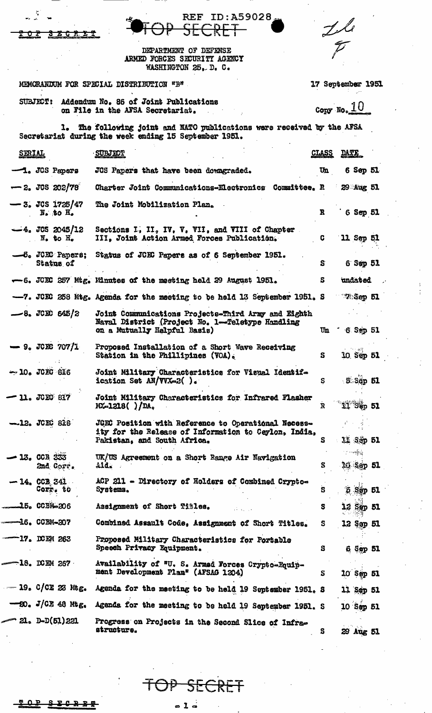|                                                     | REF ID:A59028.<br>SECRET                                                                                                                   |              |                   |  |
|-----------------------------------------------------|--------------------------------------------------------------------------------------------------------------------------------------------|--------------|-------------------|--|
| <del>3 Z C R I T</del><br>᠊ᡉ᠊                       |                                                                                                                                            |              | $\frac{1}{p}$     |  |
|                                                     | DEPARTMENT OF DEFENSE<br>ARMED FORCES SECURITY AGENCY<br>WASHINGTON 25. D. C.                                                              |              |                   |  |
|                                                     | MEMORANDUM FOR SPECIAL DISTRIBUTION "B"                                                                                                    |              | 17 September 1951 |  |
|                                                     | SUBJECT: Addendum No. 86 of Joint Publications<br>on File in the AFSA Secretariat.                                                         |              | Copy No. $10$     |  |
|                                                     | 1. The following joint and NATO publications were received by the AFSA<br>Secretariat during the week ending 15 September 1951.            |              |                   |  |
| <b>SERIAL</b>                                       | <b>SUBJECT</b>                                                                                                                             | <u>CLASS</u> | <u>DATE</u>       |  |
| $-1.$ JCS Papers                                    | JCS Papers that have been downgraded.                                                                                                      | Un           | 6 Sep 51          |  |
| $-2.$ JCS 202/78                                    | Charter Joint Communications-Electronics Committee. R 29 Aug 51                                                                            |              |                   |  |
| $-3.$ JCS 1725/47<br>$N_e$ to $H_e$                 | The Joint Mobilization Plan.                                                                                                               | R            | 6 Sep 51          |  |
| $-4.$ JCS 2045/12<br>$N_{\bullet}$ to $H_{\bullet}$ | Sections I, II, IV, V, VII, and VIII of Chapter<br>III, Joint Action Armed Forces Publication.                                             | C.           | 11 Sep 51         |  |
| $-6.$ JCEC Papers:<br>Status of                     | Status of JCEC Papers as of 6 September 1951.                                                                                              | S            | $6$ Sep $51$      |  |
|                                                     | -6. JOEC 257 Mtg. Minutes of the meeting held 29 August 1951.                                                                              | S.           | undated           |  |
|                                                     | -7. JOIC 258 Mtg. Agenda for the meeting to be held 13 September 1951. S 28 Sep 51                                                         |              |                   |  |
| $-8.$ JCEC 645/2                                    | Joint Communications Projects-Third Army and Eighth<br>Naval District (Project No. 1-Teletype Handling<br>on a Mutually Helpful Basis)     | Un           | $6$ Sep 51        |  |
| $-9.$ JCEC 707/1                                    | Proposed Installation of a Short Wave Receiving<br>Station in the Phillipines (VOA).                                                       | s            | 10 Sep 51         |  |
| $-10.$ JCEC 816                                     | Joint Military Characteristics for Visual Identif-<br>ication Set $AN/VVX=2()$ .                                                           | S            | $5.56p$ $51$      |  |
| $-11.$ JCEC 817                                     | Joint Military Characteristics for Infrared Flasher<br>$MX=1218()$ $/DAo$                                                                  | $\mathbf R$  | $11$ Sép $51$     |  |
| <b>-12. JCEC 818</b>                                | JOEC Position with Reference to Operational Necess-<br>ity for the Release of Information to Ceylon, India,<br>Pakistan, and South Africa. | s            | 其 55p 51          |  |
| <b>- 13. CCB 333</b><br>2nd Corr.                   | UK/US Agreement on a Short Range Air Navigation<br>$\Delta 1d_{\alpha}$                                                                    | S            | ن وس<br>10 Sap 51 |  |
| $-14.$ CCB 341<br>Corr. to                          | ACP 211 - Directory of Holders of Combined Crypto-<br>Systems.                                                                             | S            | $5$ Sep $51$      |  |
| $-15.$ CCBM-206                                     | Assignment of Short Titles.                                                                                                                | S            | 12 Sep 51         |  |
| ——16. CCBM-207                                      | Combined Assault Code, Assignment of Short Titles.                                                                                         | s            | 12 Sep 51         |  |
| $-17.$ DCEM 263                                     | Proposed Military Characteristics for Portable<br>Speech Privacy Equipment.                                                                | s            | 6 Sep 51          |  |
| $-18.$ DCEM 267                                     | Availability of "U. S. Armed Forces Crypto-Equip-<br>ment Development Plan" (AFSAG 1204)                                                   | S            | 10 Sep 51         |  |
| $-19.$ C/CE 23 Mtg.                                 | Agenda for the meeting to be held 19 September 1951. S                                                                                     |              | 11 Sep 51         |  |
| $-20.$ J/CE 48 Mtg.                                 | Agenda for the meeting to be held 19 September 1951. S                                                                                     |              | 10 Sep 51         |  |
| $-21.$ D-D(51)221                                   | Progress on Projects in the Second Slice of Infra-<br>structure.                                                                           | s            | 29 Aug 51         |  |

 $\overline{\mathcal{F}}$ OP SECRET

 $\sim$ 

 $\bullet$  l  $\dot{\bullet}$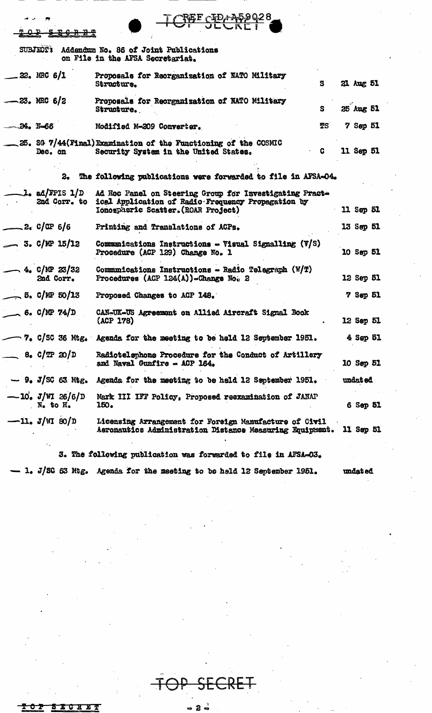| <u>ጥ በ ይ</u>                |                                   |                                                       | <u> የድር ርቀክ ታይል ሳና አ</u>                                                                                                                             |                 |  |
|-----------------------------|-----------------------------------|-------------------------------------------------------|------------------------------------------------------------------------------------------------------------------------------------------------------|-----------------|--|
|                             | <b>SUBJECT'S</b>                  |                                                       | Addendum No. 86 of Joint Publications                                                                                                                |                 |  |
|                             |                                   |                                                       | on File in the AFSA Secretariat.                                                                                                                     |                 |  |
|                             | _22. MRC 6/1                      |                                                       | Proposals for Reorganization of NATO Military<br>S<br>Structure.                                                                                     | 21 Aug 51       |  |
| $-23.$ MRC 6/2              |                                   |                                                       | Proposals for Reorganization of NATO Military<br>S<br>Structure.                                                                                     | 25 Aug 51       |  |
| $-34.$ $N=66$               |                                   |                                                       | TS<br>Modified M-209 Converter.                                                                                                                      | $7$ Sep $51$    |  |
|                             | Dec. on                           |                                                       | 25. SG 7/44(Final)Examination of the Functioning of the COSMIC<br>C.<br>Security System in the United States.                                        | 11 Sep 51       |  |
|                             |                                   |                                                       | 2. The following publications were forwarded to file in AFSA=04.                                                                                     |                 |  |
|                             |                                   | $\mathcal{L}_{\bullet}$ ad/FPIS $1/D$<br>2nd Corr. to | Ad Hoc Panel on Steering Group for Investigating Pract-<br>ical Application of Radio-Frequency Propagation by<br>Ionospheric Scatter. (ROAR Project) | 11 Sep 51       |  |
| $2e$ C/CP 6/6               |                                   |                                                       | Printing and Translations of ACPs.                                                                                                                   | 13 Sep 51       |  |
| $\sim$ 3. C/MP 15/12        |                                   |                                                       | Communications Instructions - Visual Signalling (V/S)<br>Procedure (ACP 129) Change No. 1                                                            | 10 Sep 51       |  |
|                             | $\sim$ 4. C/NP 23/32<br>2nd Corr. |                                                       | Communications Instructions - Radio Telegraph $(W/T)$<br>Procedures (ACP 124(A))-Change No. 2                                                        | 12 Sep 51       |  |
| $\rightarrow$ 5. C/MP 50/13 |                                   |                                                       | Proposed Changes to ACP 148.                                                                                                                         | <b>7 Sep 51</b> |  |
| $\sim$ 6. C/MP 74/D         |                                   |                                                       | CAN-UK-US Agreement on Allied Aircraft Signal Book<br>(ACP 178)                                                                                      | 12 Sep 51       |  |
|                             |                                   |                                                       | $\sim$ 7. C/SC 36 Mtg. Agenda for the meeting to be held 12 September 1951.                                                                          | 4 Sep 51        |  |
| $-$ 8. $C/TP$ 20/D          |                                   |                                                       | Radiotelephone Procedure for the Conduct of Artillery<br>and Naval Gunfire - ACP 164.                                                                | 10 Sep 51       |  |
|                             |                                   |                                                       | $-9.$ J/SG 63 Mtg. Agenda for the meeting to be held 12 September 1951.                                                                              | undat ed        |  |
|                             | $N_{\bullet}$ to $H_{\bullet}$    | $-10. J/WI 26/6/D$                                    | Mark III IFF Policy, Proposed recxamination of JANAP<br>150.                                                                                         | 6 Sep 51        |  |
| $-11. J/M 80/D$             |                                   |                                                       | Licensing Arrangement for Foreign Manufacture of Civil<br>Aeronautics Administration Distance Measuring Equipment. 11 Sep 51                         |                 |  |
|                             |                                   |                                                       | 3. The following publication was forwarded to file in AFSA-03.                                                                                       |                 |  |

 $- 1.$  J/SC 63 Mtg. Agenda for the meeting to be held 12 September 1951. undated

2

|     |  | - 16 U X W |    |
|-----|--|------------|----|
| . . |  |            | -5 |
|     |  |            |    |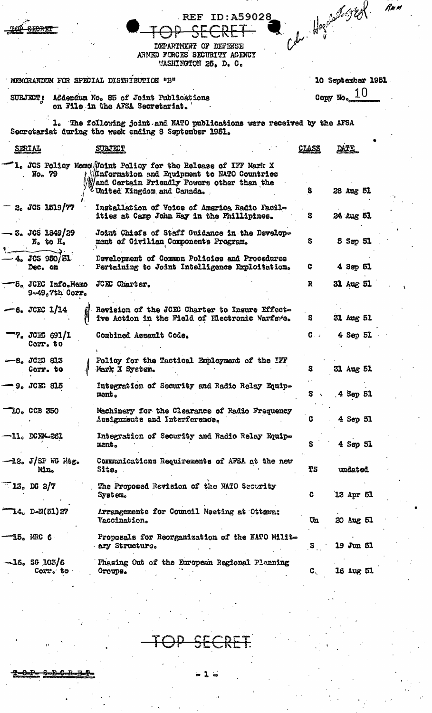|                                               |                                                                                                                                                                                          |              |                   | Rua |
|-----------------------------------------------|------------------------------------------------------------------------------------------------------------------------------------------------------------------------------------------|--------------|-------------------|-----|
|                                               | <b>REF ID: A59028</b><br><del>D SECRET</del>                                                                                                                                             |              | Coh Hogoland JEA  |     |
|                                               | DEPARTMENT OF DEFENSE<br>ARMED FORCES SECURITY AGENCY<br>WASHINGTON 25, D. C.                                                                                                            |              |                   |     |
|                                               | MEMORANDUM FOR SPECIAL DISTRIBUTION "B"                                                                                                                                                  |              | 10 September 1951 |     |
|                                               | SUEJECT: Addendum No. 85 of Joint Publications<br>on File in the AFSA Secretariat.                                                                                                       |              | Copy No. $10$     |     |
|                                               | <b>1. The following joint and NATO publications were received by the AFSA</b><br>Secretariat during the week ending 8 September 1951.                                                    |              |                   |     |
| <u>SERIAL</u>                                 | <b>SUBJECT</b>                                                                                                                                                                           | <b>CLASS</b> | DATE              |     |
| No. 79                                        | 1. JCS Policy Memo Joint Policy for the Release of IFF Mark X<br>Maformation and Equipment to NATO Countries<br>and Certain Friendly Powers other than the<br>United Kingdom and Canada. | S            | 28 Aug 51         |     |
| 2. JGS 1519/77                                | Installation of Voice of America Radio Facil-<br>ities at Carp John Hay in the Phillipines.                                                                                              | s            | 24 Aug 51         |     |
| – 3. JGS 1849/29<br>$N_o$ to $\overline{H}_o$ | Joint Chiefs of Staff Guidance in the Develop-<br>ment of Civilian Components Program.                                                                                                   | S            | 5 Sep 51          |     |
| -4. JCS 950/31<br>Dec. on                     | Davelopment of Common Policies and Procedures<br>Pertaining to Joint Intelligence Exploitation.                                                                                          | C            | 4 Sep 51          |     |
| -5. JCEC Info.Memo<br>$9 - 49$ . 7th $0$ orr. | JCEC Charter.                                                                                                                                                                            | R            | 31 Aug 51         |     |
| $-6.$ JCEC 1/14                               | Revision of the JCKC Charter to Insure Effect-<br>ive Action in the Field of Electronic Warfawe.                                                                                         |              | 31 Aug 51         |     |
| 7. JCEC 691/1<br>Corr. to                     | Combined Assault Code.                                                                                                                                                                   | $\mathbf{C}$ | 4 Sep 51          |     |
| $-8.$ JCEC 813<br>Corr. to                    | Policy for the Tactical Employment of the IFF<br>Mark X System.                                                                                                                          | S            | 31 Aug 51         |     |
| 9. JCEC 815                                   | Integration of Security and Radio Relay Equip-<br>ment.                                                                                                                                  | S.           | 4 Sep 51          |     |
| <b>LO. CCB 350</b>                            | Machinery for the Clearance of Radio Frequency<br>Ausignments and Interference.                                                                                                          | c            | 4 Sep 51          |     |
| —11. DCE4-261                                 | Integration of Security and Radio Relay Equip-<br>ment.                                                                                                                                  | s            | 4 Sep 51          |     |
| $\neg$ 12. J/SP WG Ntg.<br>Mn.                | Communications Requirements of AFSA at the new<br>Site.                                                                                                                                  | TS           | undated           |     |
| $-13.002/7$                                   | The Proposed Revision of the NATO Security<br>System.                                                                                                                                    | c            | 13 Apr 51         |     |
| $\mathbb{T}_4$ , D-N(51)27                    | Arrangements for Council Meeting at Ottewa;<br>Vaccination.                                                                                                                              | UΩ           | 20 Aug 51         |     |
| 15. MRC 6                                     | Proposals for Reorganization of the NATO Milit-<br>ary Structure.                                                                                                                        | $\mathbf{s}$ | 19 Jun 51         |     |
| $\sim 16$ , SG 103/6<br>Corr. to              | Phasing Out of the European Regional Planning<br>Groups.                                                                                                                                 | G,           | 16 Aug 51         |     |

SI <u>- pr</u>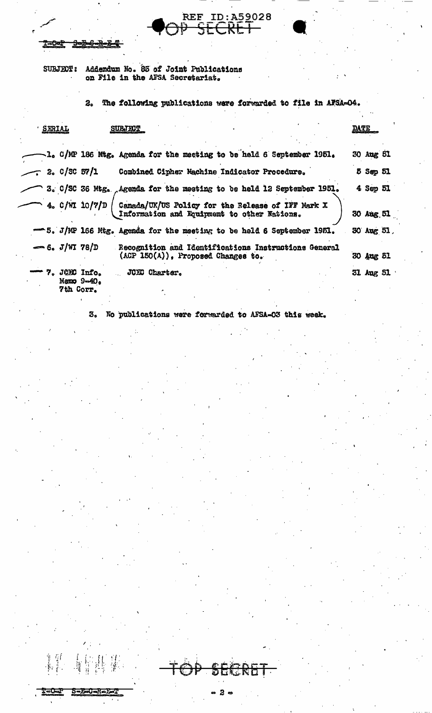Addendum No. 85 of Joint Publications<br>on File in the AFSA Secretariat. **SUBJECT:** 

2. The following publications were forwarded to file in AFSA-04.

REF ID: A52028

| SERIAL          |           |                             | <b>SUBJECT</b>                                                                                   | <b>DATE</b> |           |  |
|-----------------|-----------|-----------------------------|--------------------------------------------------------------------------------------------------|-------------|-----------|--|
|                 |           |                             | 1. C/MP 186 Mtg. Agenda for the meeting to be held 6 September 1951.                             |             | 30 Aug 51 |  |
|                 |           | 2.05057/1                   | Combined Cipher Machine Indicator Procedure.                                                     |             | 5 Sep 51  |  |
|                 |           |                             | 3. C/SC 36 Mtg. Agenda for the meeting to be held 12 September 1951.                             |             | 4 Sep 51  |  |
|                 |           | 4. c/WI 10/7/D              | Canada/UK/US Policy for the Release of IFF Mark X<br>Information and Equipment to other Nations. |             | 30 Aug 51 |  |
|                 |           |                             | - 5. J/MP 166 Mtg. Agenda for the meeting to be held 6 September 1951.                           |             | 30 Aug 51 |  |
| $-6. J/WI 78/D$ |           |                             | Recognition and Identifications Instructions General<br>$(ACP 150(A))$ , Proposed Changes to.    |             | 30 Aug 51 |  |
|                 | 7th Corr. | 7. JOE Info.<br>Manno 9-40. | JCEC Charter.                                                                                    |             | 31 Aug 51 |  |

No publications were forwarded to AFSA-03 this week. 3.

2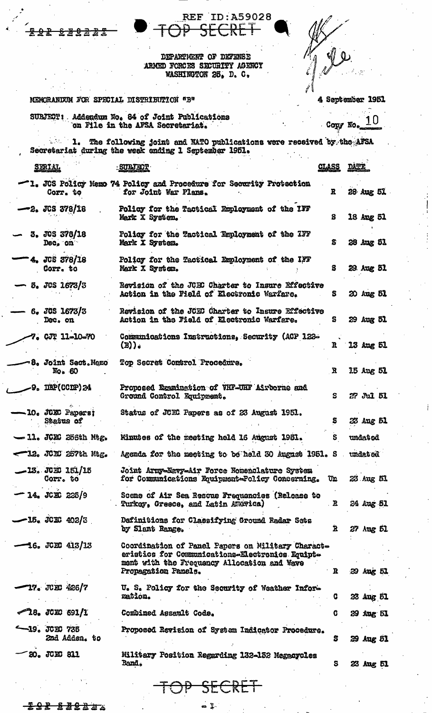**REF ID: A59028** <del>RL 1</del>

DEPARTMENT OF DEFENSE ARMED FORCES SECURITY AGENCY WASHINGTON 25, D. C.

## MEMORANIZM FOR SPECIAL DISTRIBUTION "B"

÷

## 4 September 1951

SURJECT: Addendum No. 84 of Joint Publications<br>on File in the AFSA Secretariat.

10

Copy No 1. The following joint and NATO publications were received by the AFSA Secretariat during the week ending 1 September 1951.  $\sim$ 

| SERIAL                                  | <b>SURJECT</b>                                                                                                                                                             | <b>CLASS</b> | <b>DATY</b> |
|-----------------------------------------|----------------------------------------------------------------------------------------------------------------------------------------------------------------------------|--------------|-------------|
| Corr. to                                | -1. JUS Policy Memo 74 Policy and Procedure for Security Protection<br>for Joint War Plans.                                                                                | R            | 28 Aug 51   |
| $-2.$ JCS 378/18                        | Policy for the Tactical Employment of the IFF<br>Mark X System.                                                                                                            | S            | 18 Apg 51   |
| 3. JOS 378/18<br>Dec. on                | Policy for the Tactical Employment of the IFF<br>Mark X System.                                                                                                            | S.           | 28 Aug 51   |
| <sup>-</sup> 4. JCS 378/18<br>Corr. to  | Policy for the Tactical Employment of the IFF<br>Mark X System.                                                                                                            | S.           | 29 Aug 51   |
| <b>5. JCS 1673/3</b>                    | Revision of the JCRC Charter to Insure Effective<br>Action in the Field of Electronic Warfare.                                                                             | S.           | 20 Aug 51   |
| 6.3051673/3<br>Dec. on                  | Revision of the JCEC Charter to Insure Effective<br>Action in the Field of Electronic Warfare.                                                                             | S.           | 29 Aug 51   |
| -7. CJT 11-10-70                        | Communications Instructions, Security (ACP 122-<br>$(B)$ .                                                                                                                 | R            | 13 Aug 51   |
| <b>8. Joint Sect.Memo</b><br>$E_0$ . 60 | Top Secret Control Procedure.                                                                                                                                              | R            | 15 Aug 51   |
| $-9.$ DEP(CCDP)24                       | Proposed Examination of VHF-UHF Airborne and<br>Ground Control Equipment.                                                                                                  | S            | 27 Jul 51   |
| - 10. JCKC Papers;<br>Status of         | Status of JUEC Papers as of 23 August 1951.                                                                                                                                | S            | 23 Aug 51   |
| $-11.$ JCEC 255th Mtg.                  | Minutes of the meeting held 16 August 1951.                                                                                                                                | S.           | undatod     |
| $-12.7000257$ the Mtg.                  | Agenda for the meeting to be held 30 August 1951. S                                                                                                                        |              | undated     |
| $-13.$ JCEC $151/15$<br>Corr. to        | Joint Army-Navy-Air Force Nomenclature System<br>for Communications Equipment-Policy Concerning.                                                                           | U£           | 23 Aug 51   |
| 14. JCEC 225/9                          | Scene of Air Sea Rescue Frequencies (Release to<br>Turkoy, Greece, and Latin America)                                                                                      | . B          | 24 Aug 51   |
| $-15$ . JCEC 402/3                      | Definitions for Classifying Ground Radar Sets<br>by Slant Range.                                                                                                           | $\mathbf{z}$ | 27 Aug 51   |
| 16. JCEC 413/13                         | Coordination of Panel Papers on Military Charact-<br>eristics for Communications-Electronics Equipt-<br>ment with the Frequency Allocation and Wave<br>Propagation Panels. | R            | 29 Aug 51   |
| 17. JCEC 426/7                          | U. S. Policy for the Security of Weather Inform<br>mation.                                                                                                                 | C.           | 23 Aug 51   |
| $\sim$ 18. JCEC 691/1                   | Combined Assault Code.                                                                                                                                                     | C            | 29 Aug 51   |
| $-19.3000736$<br>2nd Adden. to          | Proposed Revision of System Indicator Procedure.                                                                                                                           | s            | 29 Aug 51   |
| 20. JCEC 811                            | Military Position Regarding 132-152 Megacycles<br><b>Band.</b>                                                                                                             | s            | 23 Aug 51   |

SECRE

 $\ddot{\bullet}$ 

<del>22 23222</del>3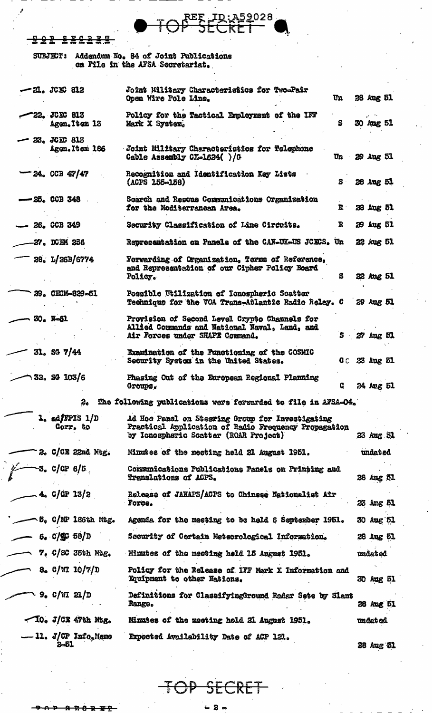**SOR SECREE** 

SUBJECT: Addendum No. 84 of Joint Publications<br>on File in the AFSA Secretariat.

| -21. JCKG 812                                   | Joint Military Characteristics for Two-Pair<br>Un<br>Open Wire Pole Line.                                                                              | <b>38 Aug 51</b> |  |
|-------------------------------------------------|--------------------------------------------------------------------------------------------------------------------------------------------------------|------------------|--|
| <b>-22. JCKX 813</b><br>Agen. Item 13           | Policy for the Tactical Employment of the IFF<br>S<br>Mark X System.                                                                                   | 30 Aug 51        |  |
| <b>- 23. JCEC 813</b><br>Agen. It sm 186        | Joint Military Characteristics for Telephone<br>Un 29 Aug 51<br>Cable Assembly CX-1624()/G                                                             |                  |  |
| -24. CCB 47/47                                  | Recognition and Identification Key Lists<br>$\mathbf{s}$<br>$(ACPS 155 - 158)$                                                                         | 28 Aug 51        |  |
| $-25.$ CCB 348                                  | Search and Rescue Communications Organization<br>$\mathbf{R}$<br>for the Mediterranean Area.                                                           | 28 Aug 51        |  |
| $-26.$ CCB 349                                  | $\mathbf R$<br>Security Classification of Line Circuits.                                                                                               | 29 Aug 51        |  |
| 27. DCEM 286                                    | Representation on Panels of the CAN-UK-US JCECS. Un                                                                                                    | 22 Aug 51        |  |
| 28. L/26B/6774                                  | Forwarding of Organization, Terms of Reference,<br>and Representation of our Cipher Policy Board<br>Policy.<br>S                                       | 22 Aug 51        |  |
| 29. CECM-829-51                                 | Possible Utilization of Ionospheric Scatter<br>Technique for the TOA Trans-Atlantic Radio Relay. C                                                     | 29 Aug 51        |  |
| 30. N-61                                        | Provision of Second Level Crypto Channels for<br>Allied Commands and National Naval, Land, and<br>$S$ $27$ Aug $51$<br>Air Forces under SHAPE Command. |                  |  |
| $31.$ SG $7/44$                                 | Examination of the Functioning of the COSMIC<br>CC 23 Aug 51<br>Security System in the United States.                                                  |                  |  |
| 32. S4 103/6                                    | Phasing Out of the European Regional Planning<br>G<br>Groups.                                                                                          | 24 Aug 51        |  |
|                                                 | The following publications were forwarded to file in AFSA-04.                                                                                          |                  |  |
| l. adfFPIS 1/D<br>Corr. to                      | Ad Hoc Panel on Steering Group for Investigating<br>Practical Application of Radio Frequency Propagation<br>by Ionospheric Scatter (ROAR Project)      | 23 Aug 51        |  |
| 2. C/CE 22nd Mtg.                               | Minutes of the meeting held 21 August 1951.                                                                                                            | undat ed         |  |
| ~3. c/œ 6/5                                     | Communications Publications Panels on Printing and<br>Translations of ACPS.                                                                            | 28 Aug 51        |  |
| $-4.$ C/CP 13/2                                 | Release of JANAPS/ACPS to Chinese Nationalist Air<br><b>Force.</b>                                                                                     | 23 Ang 51        |  |
| - 5. C/MP 186th Mag.                            | Agenda for the meeting to be held 6 September 1951.                                                                                                    | 30 Aug 51        |  |
| 6. C/GC 58/D                                    | Security of Certain Meteorological Information.                                                                                                        | 28 Aug 51        |  |
| $7.$ C/SC 35th Mtg.                             | Minutes of the meeting held 15 August 1951.                                                                                                            | <b>undated</b>   |  |
| 8. C/MI $10/7/D$                                | Policy for the Release of IFF Mark X Information and<br>Equipment to other Nations.                                                                    | 30 Aug 51        |  |
| 、9. C/W 21/D                                    | Definitions for ClassifyingGround Radar Sete by Slamt<br><b>Range.</b>                                                                                 | 28 Aug 51        |  |
| $\sim$ IO. J/CE 47th Mtg.                       | Mimites of the meeting held 21 August 1951.                                                                                                            | <b>undated</b>   |  |
| $-11.$ J/CP $\text{Info}_{\alpha}$ Memo<br>2-51 | Expected Availability Date of ACP 121.                                                                                                                 | 28 Aug 51        |  |

A59028

REE

 $\mathbf{ID}$ 

 $\mathbf{P}$ SE \_K |

ia 2 a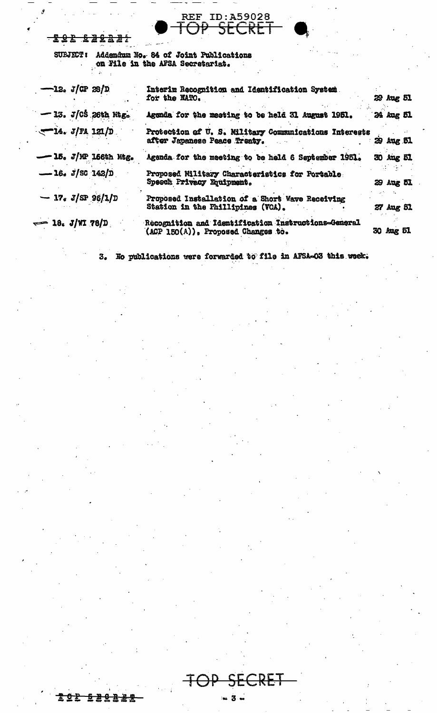## $-222$   $-2222$

SUBJECT: Addendum No. 84 of Joint Publications<br>on File in the AFSA Secretariat.

| $-12. J/CP 28/D$  |                        | Interim Recognition and Identification System.<br>for the NATO.                           | 29 Aug 51 |  |
|-------------------|------------------------|-------------------------------------------------------------------------------------------|-----------|--|
|                   | $-13. J/05$ 26th Mtg.  | Agenda for the meeting to be held 31 August 1951.                                         | 24 Aug 51 |  |
| $-14. J/R 121/D$  |                        | Protection of U.S. Military Communications Interests<br>after Japanese Peace Treaty.      | 29 Aug 51 |  |
|                   | $-15.$ J/MP 166th Mtg. | Agenda for the meeting to be held 6 September 1951.                                       | 30 Aug 51 |  |
| $-16.$ J/SG 142/D |                        | Proposed Military Characteristics for Portable<br>Speech Privacy Equipment.               | 29 Aug 51 |  |
|                   | $-17. J/SP 96/1/D$     | Proposed Installation of a Short Wave Receiving<br>Station in the Fhillipines (VOA).      | 27 Aug 51 |  |
| $= 18. J/NI 78/D$ |                        | Recognition and Identification Instructions-General<br>(ACP 150(A)), Proposed Changes to. | 30 Aug 51 |  |

REF ID: A59028

CRET

No publications were forwarded to file in AFSA-03 this week.  $3.5$ 

 $\sim$  3  $\sim$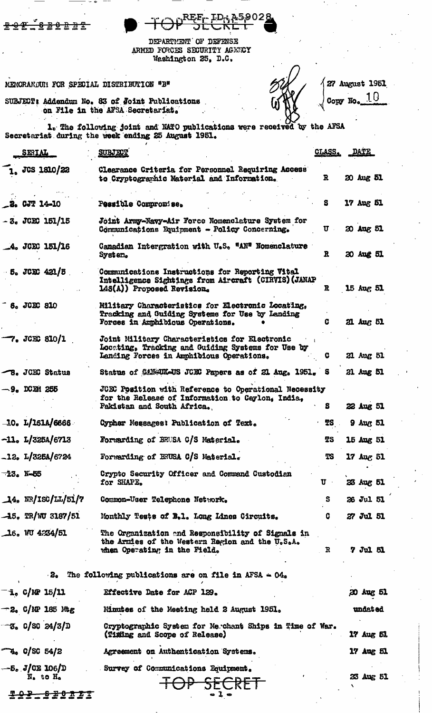|  | $T \sim 0$ <sup>REE</sup> r ID; A59028 |  |
|--|----------------------------------------|--|
|  | VI JLVNLI                              |  |

27 August 1951

Copy No.

10

DEPARTMENT OF DEFENSE ARMED FORCES SECURITY AGENCY Weshington 25, D.C.

MEMORANDUM FOR SPECIAL DISTRIBUTION "B"

<del>bê û bê</del>

SUBJECT: Addendum No. 83 of Joint Publications<br>on File in the AFSA Secretarist.

1. The following joint and NATO publications were received by the AFSA Secretariat during the week ending 25 August 1951.

| SERIAL                             | <b>SUBJECT</b>                                                                                                                                 | <u>CLASS.</u> | <u>DATE</u>    |  |
|------------------------------------|------------------------------------------------------------------------------------------------------------------------------------------------|---------------|----------------|--|
| 1. JCS 1810/22                     | Clearance Criteria for Personnel Requiring Access<br>to Cryptographic Material and Information.                                                | $\mathbf{R}$  | 20 Aug 51      |  |
| $-3.0JT 14-10$                     | Pessible Compromise.                                                                                                                           | S             | 17 Aug 51      |  |
| $-3.3$ JCEC 151/15                 | Joint Army-Navy-Air Force Nomenclature System for<br>Communications Equipment - Policy Concerning.                                             | $\sigma$      | 20 Aug 51      |  |
| $-4.$ JCEC 151/16                  | Canadian Intergration with U.S. "AN" Nomenclature<br>System.                                                                                   | $\mathbf{R}$  | 20 Aug 51      |  |
| $5.$ JCEC 421/5                    | Communications Instructions for Reporting Vital<br>Intelligence Sightings from Aircraft (CIRVIS) (JANAP<br>148(A)) Proposed Revision.          | R             | 15 Aug 51      |  |
| 6. JCEC 810                        | Military Characteristics for Electronic Locating,<br>Tracking and Guiding Systems for Use by Landing<br>Forces in Amphibious Operations.       |               | 21 Aug 51      |  |
| $-7.$ JCEC 810/1                   | Joint Military Characteristics for Electronic<br>Locating, Tracking and Guiding Systems for Use by<br>Landing Forces in Amphibious Operations. | G             | 21 Aug 51      |  |
| <b>B. JCEC Status</b>              | Status of CAM-UK-US JONG Papers as of 21 Aug. 1951. S                                                                                          |               | 21 Aug 51      |  |
| $-9.$ DCEM 255                     | JCEC Position with Reference to Operational Necessity<br>for the Release of Information to Ceylon, India,<br>Pakistan and South Africa.        | S.            | 22 Aug 51      |  |
| $\frac{10. L}{1514/6666}$          | Cypher Messages: Publication of Text.                                                                                                          | TS            | $9$ Aug 51     |  |
| $-11. L/325A/6713$                 | Forwarding of BRUSA C/S Material.                                                                                                              | <b>TS</b>     | 15 Aug 51      |  |
| $-12$ . L/325A/6724                | Forwarding of BRUSA C/S Material.                                                                                                              | <b>TS</b>     | 17 Aug 51      |  |
| -23. N-55                          | Crypto Security Officer and Command Custodian<br>for SHAPE.                                                                                    | $\mathbf{U}$  | 23 Aug 51      |  |
| $\frac{1}{4}$ , NR/ISC/LL/51/7     | Common-User Telephone Network.                                                                                                                 | S.            | 26 Jul 51      |  |
| $-15$ , TR/WU 3187/51              | Monthly Tests of B.1. Long Lines Circuits.                                                                                                     | c             | 27 Jul 51      |  |
| $16.$ WU 4234/51                   | The Organization and Responsibility of Signals in<br>the Armies of the Western Region and the U.S.A.<br>when Operating in the Field.           | R             | 7 Jul 51       |  |
| $-2o$                              | The following publications are on file in AFSA $\approx 04$ .                                                                                  |               |                |  |
| $-$ i. C/NP 15/11                  | Effective Date for ACP 129.                                                                                                                    |               | 20 Aug 51      |  |
| $-2$ , C/MP 185 Mtg                | Minutes of the Meeting held 2 August 1951.                                                                                                     |               | <b>undated</b> |  |
| -3. C/SC 24/3/D                    | Cryptographic System for Merchant Ships in Time of War.<br>(Timing and Scope of Release)                                                       |               | 17 Aug 51      |  |
| $T_{4.}$ C/SC 54/2                 | Agreement on Authentication Systems.                                                                                                           |               | 17 Aug 51      |  |
| $-5.$ J/CE 106/D<br>$N_a$ to $H_a$ | Survey of Communications Equipment.<br><del>SFCRFT</del>                                                                                       |               | 23 Aug 51      |  |

 $-1-$ 

222 22032T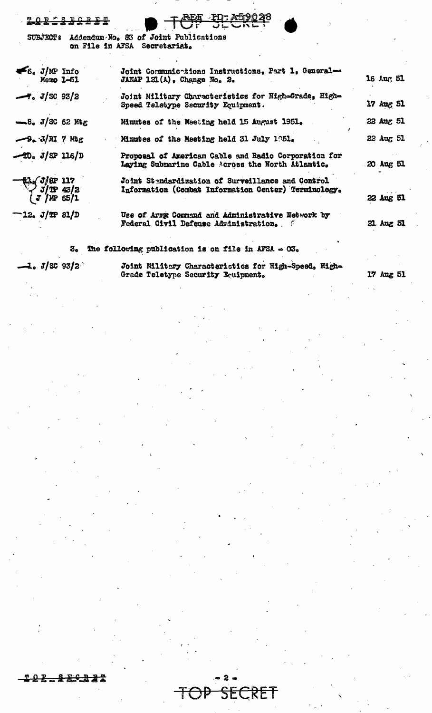| <b>LOR 2886888</b>                                    | <b>BEE ED ASPORE</b>                                                                                      |           |
|-------------------------------------------------------|-----------------------------------------------------------------------------------------------------------|-----------|
|                                                       | SUBJECT: Addendum No. 83 of Joint Publications<br>on File in AFSA Secretariat.                            |           |
| $\leq 6$ , J/MP Info<br>Memo 1-51                     | Joint Communications Instructions, Part 1, General-<br>JANAP $121(A)$ , Change No. 2.                     | 16 Aug 51 |
| $-7. J/SC 93/2$                                       | Joint Military Characteristics for High=Grade, High=<br>Speed Teletype Security Equipment.                | 17 Aug 51 |
| $\equiv 8$ . J/SC 62 Mtg                              | Minutes of the Meeting held 15 August 1951.                                                               | 22 Aug 51 |
| $-9$ . $J/RI$ 7 Mg                                    | Minutes of the Meeting held 31 July 1951.                                                                 | 22 Aug 51 |
| $-10. J/SP 116/D$                                     | Proposal of Americam Gable and Radio Corporation for<br>Laying Submarine Cable Across the North Atlantic. | 20 Aug 51 |
| <b>01/ J/BP 117<br/> - J/BP 43/2<br/> - J/AP 65/1</b> | Joint Stendardization of Surveillance and Control<br>Information (Combat Information Center) Terminology. | 22 Aug 51 |
| $-12. J/T P 81/D$                                     | Use of Army Command and Administrative Network by<br>Federal Civil Defense Administration.                | 21 Aug 51 |
|                                                       |                                                                                                           |           |

3. The following publication is on file in AFSA  $\sim$  03.

 $1. J/\text{SC } 93/\text{2}$ 

Joint Militery Characteristics for High-Speed, High-<br>Grade Teletype Security Equipment.

FRET

17 Aug 51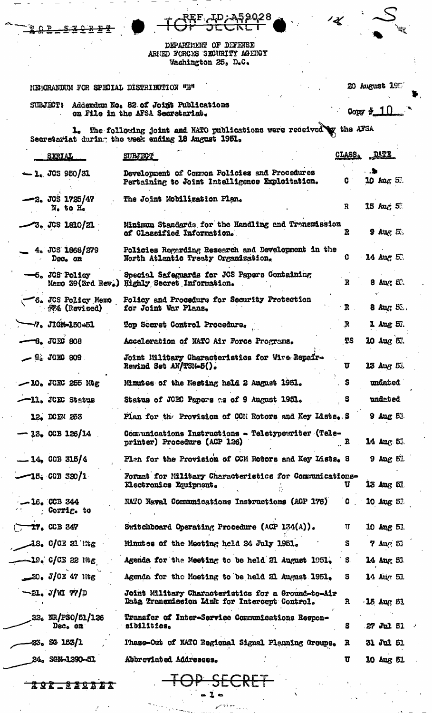|                                                | <u>REF. JD; 459028</u>                                                                                                       | $\overline{\mathscr{K}}$ | $\mathcal{L}_{\mathcal{I}_{\mathcal{L}_{\mathcal{L}}}}$ |
|------------------------------------------------|------------------------------------------------------------------------------------------------------------------------------|--------------------------|---------------------------------------------------------|
|                                                | DEPARTMENT OF DEFENSE<br>AREED FORCES SECURITY AGENCY<br>Washington 25, D.C.                                                 |                          |                                                         |
| MEMORANDUM FOR SPECIAL DISTRIBUTION "B"        |                                                                                                                              |                          | 20 August 1957                                          |
|                                                | SUBJECT: Addemdum No. 82 of Joint Publications<br>on File in the AFSA Secretariat.                                           |                          | Copy $\sqrt[4]{10}$                                     |
|                                                | 1. The following joint and NATO publications were received by the AFSA<br>Secretariat during the week ending 18 August 1951. |                          |                                                         |
| SIRIAL                                         | <b>SUBJECT</b>                                                                                                               | CLASS.                   | DATE                                                    |
| $-1.$ JCS 950/31                               | Development of Common Policies and Procedures<br>Pertaining to Joint Intelligence Exploitation.                              | C.                       | 10 $\log 5$ .                                           |
| $-2.$ JCS 1725/47<br>N. to H.                  | The Joint Mobilization Plan.                                                                                                 | R                        | $15$ Aug $5$ .                                          |
| $-3.$ JGS 1810/21                              | Minimum Standards for the Handling and Transmission<br>of Classified Information.                                            | R                        | $9$ Aug $5$ .                                           |
| 4. JCS 1668/279<br>$D0$ on                     | Policies Regarding Research and Development in the<br>North Atlantic Treaty Organization.                                    | C                        | 14 Aug 53                                               |
| $-5.$ JCS Policy                               | Special Safeguards for JCS Papers Containing<br>Memo 39(3rd Rev.) Highly Secret Information.                                 | R                        | $8$ Aug $5$ .                                           |
| 6. JCS Policy Memo<br>$\mathbb{R}$ 4 (Revised) | Policy and Procedure for Security Protection<br>for Joint War Plans.                                                         | $\mathbf{R}$             | $8$ Aug $5$ .                                           |
| $\neg 7.$ JIGN=150-51                          | Top Secret Control Procedure.                                                                                                | R                        | 1 Aug 51.                                               |
| $-8.$ JCEC 808                                 | Acceleration of NATO Air Force Programs.                                                                                     | TS                       | 10 Aug 51.                                              |
| $-9.3$ JCEC 809                                | Joint Military Characteristics for Wire Repair-<br>Rewind Set AN/TSN-5().                                                    | U                        | <b>13 Aug 51</b>                                        |
| $-10$ . JCEC 255 Mtg                           | Mimites of the Nesting held 2 August 1951.                                                                                   | S                        | <b>undated</b>                                          |
| -11. JCEC Status                               | Status of JCEC Papers as of 9 August 1951.                                                                                   | S                        | undated                                                 |
| 12. DOEM 253                                   | Plan for the Provision of CCM Rotors and Key Lists. S                                                                        |                          | $9$ Aug $51$ .                                          |
| $-23$ , CCB 126/14                             | Communications Instructions - Teletypewriter (Tele-<br>printer) Procedure (ACP 126)                                          | R                        | $14 \, \text{Myr} \, 53.$                               |
| $-14.$ CCB 315/4                               | Plan for the Provision of CCM Rotors and Key Lists. S                                                                        |                          | $9$ Aug $5$ ).                                          |
| $-15.$ CCB 320/1                               | Format for Military Characteristics for Communications-<br>Electronics Equipment.                                            | T                        | 13 Aug 51                                               |
| $-16.$ CCB 344<br><b>Corrig.</b> to            | NATO Naval Communications Instructions (ACP 176)                                                                             | C.                       | 10 Aug 52                                               |
| $7T0$ CCB 347                                  | Switchboard Operating Procedure (ACP $134(A)$ ).                                                                             | TJ.                      | 10 Aug 51                                               |
| $\sim$ 38. C/CE 21 Thg                         | Minutes of the Meeting held 24 July 1951.                                                                                    | s                        | $7$ Aug $53$                                            |
| $-19.$ C/CE 22 Mg                              | Agenda for the Meeting to be held 21 August 1951.                                                                            | S.                       | 14 Aug 51                                               |
| $\infty$ . J/CE 47 Mtg                         | Agenda for the Meeting to be held 21 August 1951.                                                                            | S.                       | 14 Aug 51                                               |
| $\sim$ 21. J/W 77/D                            | Joint Military Characteristics for a Ground-to-Air<br>Data Transmission Link for Intercept Control.                          | R                        | $-15$ Aug 51                                            |
| 22. NR/PSO/51/126<br>Dec. on                   | Transfer of Inter-Service Communications Respon-<br>sibilities,                                                              | S.                       | 27 Jul 51                                               |

Phase-Out of NATO Regional Signal Planning Groups.

Abbreviated Addresses.

**TOP** 

31 Jul 51

10 Aug 51

 $\mathbf{R}$ 

 $\overline{u}$ 

 $-23$ . SG 153/1

 $\binom{1}{2}$ 

24. SGN-1290-51

202\_320B22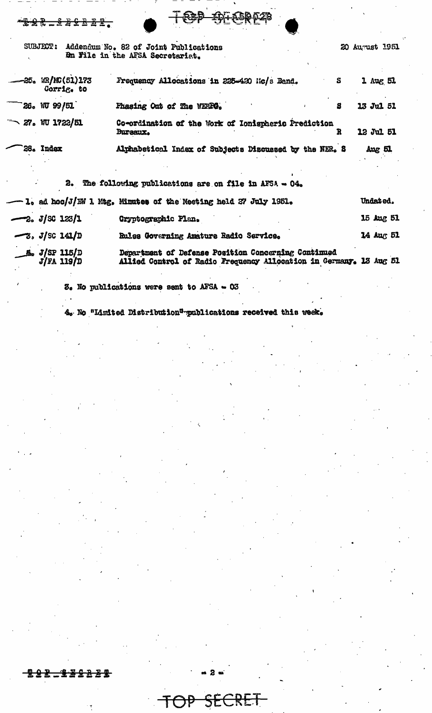| SUBJECT: | Addendum No. 82 of Joint Publications<br><b>En File in the AFSA Secretarist.</b> |  |                                             |  |  |  |
|----------|----------------------------------------------------------------------------------|--|---------------------------------------------|--|--|--|
|          |                                                                                  |  |                                             |  |  |  |
|          | WR/MG(51)173                                                                     |  | Frequency Allocations in 225-420 Ec/s Band. |  |  |  |

 $\frac{m}{2}$ 

⊕

<del>22\_2221</del>

**T@P** 

20 August 1951

|      | $-25.$ WR/NC(51)173<br>Corrig. to | Frequency Allocations in 225-420 Mc/s Band.                            | $1 \text{ mag } 51$ |
|------|-----------------------------------|------------------------------------------------------------------------|---------------------|
| `26. | WU 99/51                          | Fhasing Out of The WERPG.                                              | 13 Jul 51           |
|      | $\sim$ 27. WU 1722/51             | Co-ordination of the Work of Ionispheric Prediction<br><b>Bureaux.</b> | 12 Jul 51           |
|      | 28. Index                         | Alphabetical Index of Subjects Discussed by the NER. S                 | $Avg$ 51            |
|      |                                   |                                                                        |                     |

**IDI ASR 028** 

|                                           | $\sim$ and forrowing bublications are on life in where $O45$                                                              |           |
|-------------------------------------------|---------------------------------------------------------------------------------------------------------------------------|-----------|
|                                           | $-1$ . ad hoc/J/EW 1 Mtg. Minutes of the Meeting held 27 July 1951.                                                       | Undated.  |
| $-2. J/SC 123/1$                          | <b>Cryptographic Plan.</b>                                                                                                | 15 Aug 51 |
| $\frac{-3}{3}$ , J/SC 141/D               | Rules Governing Amature Radio Service.                                                                                    | 14 Aug 51 |
| $\frac{1}{\sqrt{5}}$ $\frac{J}{FA}$ 115/D | Department of Defense Position Concerning Continued<br>Allied Control of Radio Frequency Allocation in Germany. 13 Aug 51 |           |

 $\delta$ . No publications were sent to AFSA - 03

4. No "Limited Distribution" publications received this week.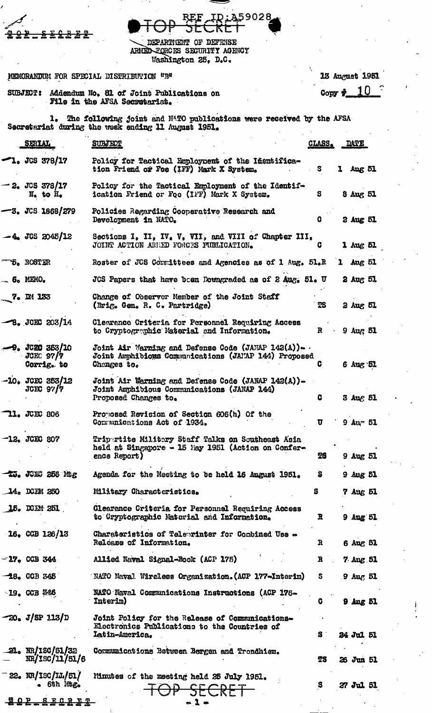|                                              | ĮD:A59028                                                                                                                    |              |                      |  |
|----------------------------------------------|------------------------------------------------------------------------------------------------------------------------------|--------------|----------------------|--|
|                                              | DEPARTMENT OF DEFENSE<br>ARMED FORCES SECURITY AGENCY<br>Washington 25, D.C.                                                 |              |                      |  |
|                                              | MEMORANDUM FOR SPECIAL DISTRIBUTION "B"                                                                                      |              | 13 August 1951       |  |
|                                              | SUBJECT: Addendum No. 81 of Joint Publications on                                                                            |              | Copy $\frac{10}{2}$  |  |
|                                              | File in the AFSA Secretariat.                                                                                                |              |                      |  |
|                                              | 1. The following joint and NATO publications were received by the AFSA<br>Secretariat during the week ending 11 August 1951. |              |                      |  |
| SERIAL                                       | <b>SUBJECT</b>                                                                                                               | CLASS.       | <b>DATE</b>          |  |
| '1. JCS 378/17                               | Policy for Tactical Employment of the Inentifica-<br>tion Friend of Foe (IFF) Mark X System.                                 | s.           | Aug 51<br>ı          |  |
| -2. JCS 378/17<br>$N1$ to $H0$               | Policy for the Tactical Employment of the Identif-<br>ication Friend or Foe (IFF) Mark X System.                             | S            | 8 Aug 51             |  |
| —3. JCS 1868/279                             | Policies Regarding Cooperative Research and<br>Development in NATO.                                                          | G            | 2 Aug 51             |  |
| $-4.$ JGS 2045/12                            | Sections I, II, IV, V, VII, and VIII of Chapter III,<br>JOINT ACTION ARRED FORCES PUBLICATION.                               | G            | 1 Aug 51             |  |
| <b>5. ROSTER</b>                             | Roster of JUS Cormittees and Agencies as of 1 Aug. 51.R                                                                      |              | $1$ Aug $51$         |  |
| $-6$ . MEMO.                                 | JCS Papers that have been Downgraded as of 2 Aug. 51. U                                                                      |              | $2 \text{ Aug } 51$  |  |
| 7. DI 133                                    | Change of Observer Member of the Joint Staff<br>(Brig. Gen. R. C. Partridge)                                                 | TS           | 2 Aug 51             |  |
| $-8.302C 203/14$                             | Clearance Criteria for Personnel Requiring Access<br>to Cryptographic Material and Information.                              | R            | $9 \text{ Aug } 51$  |  |
| $-9.3020353/10$<br>$JCEC$ 97/7<br>Corrig. to | Joint Air Warning and Defense Code (JANAP 142(A)).<br>Joint Amphibicus Communications (JAMAP 144) Proposed<br>Changes to.    | c            | 6 Aug 51             |  |
| $-10$ . JCEC 353/12<br>JCEC <sub>97</sub> /7 | Joint Air Warning and Defense Code (JANAP 142(A)).<br>Joint Amphibious Communications (JANAP 144)<br>Proposed Changes to.    | C            | 3 Aug 51             |  |
| <b>11. JCEC 806</b>                          | Proposed Revision of Section 606(h) Of the<br>Communications Act of 1934.                                                    | $\mathbf{u}$ | $9 \text{Au}$ $51$   |  |
| $-12.$ JCEC 807                              | Tripertite Militery Staff Talks on Southeast Asia<br>held at Singapore - 15 May 1951 (Action on Confer-<br>ence Report)      | ŦS.          | $9$ Aug $51$         |  |
| tu. JCEC 256 Mg                              | Agenda for the Neeting to be held 16 August 1951.                                                                            | S.           | $9$ $\Delta$ ug $51$ |  |
| $14.$ KEM 250                                | Military Characteristics.                                                                                                    | s            | 7 Aug 51             |  |
| 15. DCEN 251                                 | Clearance Criteria for Personnel Requiring Access<br>to Cryptographic Material and Information.                              | R            | <b>9 Aug 51</b>      |  |
| $16.$ CCB $126/13$                           | Charateristics of Teleprinter for Combined Use -<br>Release of Information.                                                  | R            | 6 Aug 51             |  |
| $-17.$ CCB 344                               | Allied Naval Signal-Book (ACP 175)                                                                                           | R            | $7$ Aug 51           |  |
| $-18$ . CCB 345                              | NATO Naval Wireless Organization. (ACP 177-Interin)                                                                          | S            | $9$ Aug $51$         |  |
| $-19.$ CCB $%$ CCB                           | NATO Naval Communications Instructions (ACP 176-<br>Interim)                                                                 | G            | $9$ $\Delta$ ug $51$ |  |
| -20. J/SP 113/D                              | Joint Policy for the Release of Communications-<br>Electronics Publications to the Countries of<br>Latin-America.            | S.           | 24 Jul 51            |  |
| <b>21.</b> NR/ISC/51/32<br>NR/ISC/11/51/6    | Communications Between Bergen and Trondhiem.                                                                                 | TS           | 26 Jun 51            |  |
| - 22. NR/ISC/II./51/<br>6th Mtg.             | Minutes of the meeting held 25 July 1951.<br>SECRET                                                                          | S            | 27 Jul 51            |  |
| <u>ዊ ዕ ጀ</u><br><u>S E C R E T</u>           |                                                                                                                              |              |                      |  |

 $\ddot{\phantom{a}}$ 

 $\ddot{\phantom{a}}$ 

 $\frac{1}{2}$